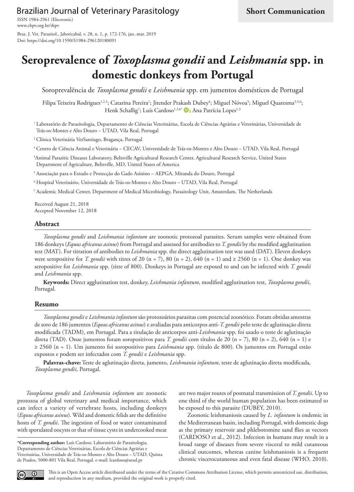Brazilian Journal of Veterinary Parasitology

[www.cbpv.org.br/rbpv](http://www.cbpv.org.br/rbpv) ISSN 1984-2961 (Electronic) Braz. J. Vet. Parasitol., Jaboticabal, v. 28, n. 1, p. 172-176, jan.-mar. 2019 Doi: https://doi.org/10.1590/S1984-296120180091

# **Seroprevalence of** *Toxoplasma gondii* **and** *Leishmania* **spp. in domestic donkeys from Portugal**

Soroprevalência de *Toxoplasma gondii* e *Leishmania* spp. em jumentos domésticos de Portugal

Filipa Teixeira Rodrigues<sup>1,2,3</sup>; Catarina Pereira'; Jitender Prakash Dubey<sup>4</sup>; Miguel Nóvoa<sup>5</sup>; Miguel Quaresma<sup>3,5,6</sup>; Henk Schallig<sup>7</sup>; Luís Cardoso<sup>1,3,6\*</sup> D; Ana Patrícia Lopes<sup>1,3</sup>

<sup>1</sup> Laboratório de Parasitologia, Departamento de Ciências Veterinárias, Escola de Ciências Agrárias e Veterinárias, Universidade de Trás-os-Montes e Alto Douro – UTAD, Vila Real, Portugal

<sup>2</sup> Clínica Veterinária VetSantiago, Bragança, Portugal

<sup>3</sup> Centro de Ciência Animal e Veterinária – CECAV, Universidade de Trás-os-Montes e Alto Douro – UTAD, Vila Real, Portugal

4 Animal Parasitic Diseases Laboratory, Beltsville Agricultural Research Center, Agricultural Research Service, United States Department of Agriculture, Beltsville, MD, United States of America

<sup>5</sup> Associação para o Estudo e Protecção do Gado Asinino – AEPGA, Miranda do Douro, Portugal

<sup>6</sup> Hospital Veterinário, Universidade de Trás-os-Montes e Alto Douro – UTAD, Vila Real, Portugal

<sup>7</sup> Academic Medical Center, Department of Medical Microbiology, Parasitology Unit, Amsterdam, The Netherlands

Received August 21, 2018 Accepted November 12, 2018

#### **Abstract**

*Toxoplasma gondii* and *Leishmania infantum* are zoonotic protozoal parasites. Serum samples were obtained from 186 donkeys (*Equus africanus asinus*) from Portugal and assessed for antibodies to *T. gondii* by the modified agglutination test (MAT). For titration of antibodies to *Leishmania* spp. the direct agglutination test was used (DAT). Eleven donkeys were seropositive for *T. gondii* with titres of 20 (n = 7), 80 (n = 2), 640 (n = 1) and  $\geq$  2560 (n = 1). One donkey was seropositive for *Leishmania* spp. (titre of 800). Donkeys in Portugal are exposed to and can be infected with *T. gondii* and *Leishmania* spp.

**Keywords:** Direct agglutination test, donkey, *Leishmania infantum*, modified agglutination test, *Toxoplasma gondii*, Portugal.

#### **Resumo**

*Toxoplasma gondii* e *Leishmania infantum* são protozoários parasitas com potencial zoonótico. Foram obtidas amostras de soro de 186 jumentos (*Equus africanus asinus*) e avaliadas para anticorpos anti-*T. gondii* pelo teste de aglutinação direta modificada (TADM), em Portugal. Para a titulação de anticorpos anti-*Leishmania* spp. foi usado o teste de aglutinação direta (TAD). Onze jumentos foram soropositivos para *T. gondii* com títulos de 20 (n = 7), 80 (n = 2), 640 (n = 1) e ≥ 2560 (n = 1). Um jumento foi soropositivo para *Leishmania* spp. (título de 800). Os jumentos em Portugal estão expostos e podem ser infectados com *T. gondii* e *Leishmania* spp.

**Palavras-chave:** Teste de aglutinação direta, jumento, *Leishmania infantum*, teste de aglutinação direta modificada, *Toxoplasma gondii*, Portugal.

*Toxoplasma gondii* and *Leishmania infantum* are zoonotic protozoa of global veterinary and medical importance, which can infect a variety of vertebrate hosts, including donkeys (*Equus africanus asinus*). Wild and domestic felids are the definitive hosts of *T. gondii*. The ingestion of food or water contaminated with sporulated oocysts or that of tissue cysts in undercooked meat

**\*Corresponding author:** Luís Cardoso. Laboratório de Parasitologia, Departamento de Ciências Veterinárias, Escola de Ciências Agrárias e Veterinárias, Universidade de Trás-os-Montes e Alto Douro – UTAD, Quinta de Prados, 5000-801 Vila Real, Portugal. e-mail: lcardoso@utad.pt

are two major routes of postnatal transmission of *T. gondii*. Up to one third of the world human population has been estimated to be exposed to this parasite (DUBEY, 2010).

Zoonotic leishmaniosis caused by *L. infantum* is endemic in the Mediterranean basin, including Portugal, with domestic dogs as the primary reservoir and phlebotomine sand flies as vectors (CARDOSO et al., 2012). Infection in humans may result in a broad range of diseases from severe visceral to mild cutaneous clinical outcomes, whereas canine leishmaniosis is a frequent chronic viscerocutaneous and even fatal disease (WHO, 2010).

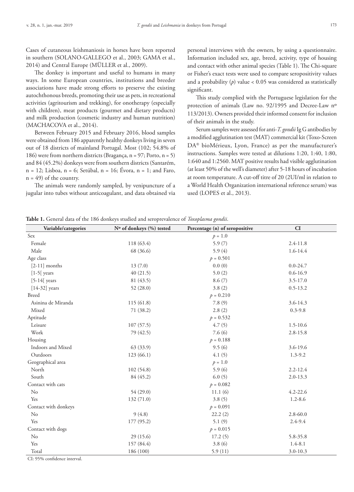Cases of cutaneous leishmaniosis in horses have been reported in southern (SOLANO-GALLEGO et al., 2003; GAMA et al., 2014) and Central Europe (MÜLLER et al., 2009).

The donkey is important and useful to humans in many ways. In some European countries, institutions and breeder associations have made strong efforts to preserve the existing autochthonous breeds, promoting their use as pets, in recreational activities (agritourism and trekking), for onotherapy (especially with children), meat products (gourmet and dietary products) and milk production (cosmetic industry and human nutrition) (MACHACOVA et al., 2014).

Between February 2015 and February 2016, blood samples were obtained from 186 apparently healthy donkeys living in seven out of 18 districts of mainland Portugal. Most (102; 54.8% of 186) were from northern districts (Bragança, n = 97; Porto, n = 5) and 84 (45.2%) donkeys were from southern districts (Santarém, n = 12; Lisboa, n = 6; Setúbal, n = 16; Évora, n = 1; and Faro,  $n = 49$ ) of the country.

The animals were randomly sampled, by venipuncture of a jugular into tubes without anticoagulant, and data obtained via

personal interviews with the owners, by using a questionnaire. Information included sex, age, breed, activity, type of housing and contact with other animal species (Table 1). The Chi-square or Fisher's exact tests were used to compare seropositivity values and a probability  $(p)$  value  $< 0.05$  was considered as statistically significant.

This study complied with the Portuguese legislation for the protection of animals (Law no. 92/1995 and Decree-Law nº 113/2013). Owners provided their informed consent for inclusion of their animals in the study.

Serum samples were assessed for anti-*T. gondii* Ig G antibodies by a modified agglutination test (MAT) commercial kit (Toxo-Screen DA<sup>®</sup> bioMérieux, Lyon, France) as per the manufacturer's instructions. Samples were tested at dilutions 1:20, 1:40, 1:80, 1:640 and 1:2560. MAT positive results had visible agglutination (at least 50% of the well's diameter) after 5-18 hours of incubation at room temperature. A cut-off titre of 20 (2UI/ml in relation to a World Health Organization international reference serum) was used (LOPES et al., 2013).

**Table 1.** General data of the 186 donkeys studied and seroprevalence of *Toxoplasma gondii*.

| Sex<br>$p = 1.0$<br>Female<br>118 (63.4)<br>5.9(7)<br>$2.4 - 11.8$<br>Male<br>1.6-14.4<br>68 (36.6)<br>5.9 $(4)$<br>Age class<br>$p = 0.501$<br>0.0(0)<br>$[2-11]$ months<br>13(7.0)<br>$0.0 - 24.7$<br>$0.6 - 16.9$<br>$[1-5]$ years<br>40(21.5)<br>5.0(2)<br>8.6(7)<br>$[5-14[$ years<br>81 (43.5)<br>$3.5 - 17.0$<br>3.8(2)<br>$0.5 - 13.2$<br>$[14-32]$ years<br>52 (28.0)<br><b>Breed</b><br>$p = 0.210$<br>7.8(9)<br>Asinina de Miranda<br>115(61.8)<br>3.6-14.3<br>Mixed<br>2.8(2)<br>71 (38.2)<br>$0.3 - 9.8$<br>Aptitude<br>$p = 0.532$<br>4.7(5)<br>$1.5 - 10.6$<br>Leisure<br>107(57.5)<br>Work<br>7.6(6)<br>79 (42.5)<br>$2.8 - 15.8$<br>Housing<br>$p = 0.188$<br>Indoors and Mixed<br>63 (33.9)<br>9.5(6)<br>3.6-19.6<br>Outdoors<br>123(66.1)<br>4.1(5)<br>$1.3 - 9.2$<br>Geographical area<br>$p = 1.0$ |
|-------------------------------------------------------------------------------------------------------------------------------------------------------------------------------------------------------------------------------------------------------------------------------------------------------------------------------------------------------------------------------------------------------------------------------------------------------------------------------------------------------------------------------------------------------------------------------------------------------------------------------------------------------------------------------------------------------------------------------------------------------------------------------------------------------------------------|
|                                                                                                                                                                                                                                                                                                                                                                                                                                                                                                                                                                                                                                                                                                                                                                                                                         |
|                                                                                                                                                                                                                                                                                                                                                                                                                                                                                                                                                                                                                                                                                                                                                                                                                         |
|                                                                                                                                                                                                                                                                                                                                                                                                                                                                                                                                                                                                                                                                                                                                                                                                                         |
|                                                                                                                                                                                                                                                                                                                                                                                                                                                                                                                                                                                                                                                                                                                                                                                                                         |
|                                                                                                                                                                                                                                                                                                                                                                                                                                                                                                                                                                                                                                                                                                                                                                                                                         |
|                                                                                                                                                                                                                                                                                                                                                                                                                                                                                                                                                                                                                                                                                                                                                                                                                         |
|                                                                                                                                                                                                                                                                                                                                                                                                                                                                                                                                                                                                                                                                                                                                                                                                                         |
|                                                                                                                                                                                                                                                                                                                                                                                                                                                                                                                                                                                                                                                                                                                                                                                                                         |
|                                                                                                                                                                                                                                                                                                                                                                                                                                                                                                                                                                                                                                                                                                                                                                                                                         |
|                                                                                                                                                                                                                                                                                                                                                                                                                                                                                                                                                                                                                                                                                                                                                                                                                         |
|                                                                                                                                                                                                                                                                                                                                                                                                                                                                                                                                                                                                                                                                                                                                                                                                                         |
|                                                                                                                                                                                                                                                                                                                                                                                                                                                                                                                                                                                                                                                                                                                                                                                                                         |
|                                                                                                                                                                                                                                                                                                                                                                                                                                                                                                                                                                                                                                                                                                                                                                                                                         |
|                                                                                                                                                                                                                                                                                                                                                                                                                                                                                                                                                                                                                                                                                                                                                                                                                         |
|                                                                                                                                                                                                                                                                                                                                                                                                                                                                                                                                                                                                                                                                                                                                                                                                                         |
|                                                                                                                                                                                                                                                                                                                                                                                                                                                                                                                                                                                                                                                                                                                                                                                                                         |
|                                                                                                                                                                                                                                                                                                                                                                                                                                                                                                                                                                                                                                                                                                                                                                                                                         |
|                                                                                                                                                                                                                                                                                                                                                                                                                                                                                                                                                                                                                                                                                                                                                                                                                         |
| North<br>102(54.8)<br>5.9(6)<br>$2.2 - 12.4$                                                                                                                                                                                                                                                                                                                                                                                                                                                                                                                                                                                                                                                                                                                                                                            |
| South<br>6.0(5)<br>84 (45.2)<br>$2.0 - 13.3$                                                                                                                                                                                                                                                                                                                                                                                                                                                                                                                                                                                                                                                                                                                                                                            |
| Contact with cats<br>$p = 0.082$                                                                                                                                                                                                                                                                                                                                                                                                                                                                                                                                                                                                                                                                                                                                                                                        |
| No<br>54 (29.0)<br>11.1(6)<br>$4.2 - 22.6$                                                                                                                                                                                                                                                                                                                                                                                                                                                                                                                                                                                                                                                                                                                                                                              |
| Yes<br>3.8(5)<br>$1.2 - 8.6$<br>132(71.0)                                                                                                                                                                                                                                                                                                                                                                                                                                                                                                                                                                                                                                                                                                                                                                               |
| Contact with donkeys<br>$p = 0.091$                                                                                                                                                                                                                                                                                                                                                                                                                                                                                                                                                                                                                                                                                                                                                                                     |
| $\rm No$<br>9(4.8)<br>22.2(2)<br>$2.8 - 60.0$                                                                                                                                                                                                                                                                                                                                                                                                                                                                                                                                                                                                                                                                                                                                                                           |
| 5.1(9)<br>$2.4 - 9.4$<br>Yes<br>177 (95.2)                                                                                                                                                                                                                                                                                                                                                                                                                                                                                                                                                                                                                                                                                                                                                                              |
| Contact with dogs<br>$p = 0.015$                                                                                                                                                                                                                                                                                                                                                                                                                                                                                                                                                                                                                                                                                                                                                                                        |
| No<br>29 (15.6)<br>17.2(5)<br>5.8-35.8                                                                                                                                                                                                                                                                                                                                                                                                                                                                                                                                                                                                                                                                                                                                                                                  |
| Yes<br>157 (84.4)<br>3.8(6)<br>$1.4 - 8.1$                                                                                                                                                                                                                                                                                                                                                                                                                                                                                                                                                                                                                                                                                                                                                                              |
| Total<br>186 (100)<br>5.9(11)<br>$3.0 - 10.3$                                                                                                                                                                                                                                                                                                                                                                                                                                                                                                                                                                                                                                                                                                                                                                           |

CI: 95% confidence interval.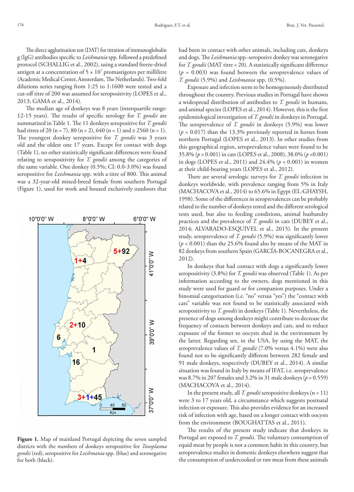The direct agglutination test (DAT) for titration of immunoglobulin g (IgG) antibodies specific to *Leishmania* spp. followed a predefined protocol (SCHALLIG et al., 2002), using a standard freeze-dried antigen at a concentration of  $5 \times 10^7$  promastigotes per millilitre (Academic Medical Center, Amsterdam, The Netherlands). Two-fold dilutions series ranging from 1:25 to 1:1600 were tested and a cut-off titre of 200 was assumed for seropositivity (LOPES et al., 2013; GAMA et al., 2014).

The median age of donkeys was 8 years (interquartile range: 12-15 years). The results of specific serology for *T. gondii* are summarized in Table 1. The 11 donkeys seropositive for *T. gondii* had titres of 20 (n = 7), 80 (n = 2), 640 (n = 1) and  $\geq$  2560 (n = 1). The youngest donkey seropositive for *T. gondii* was 3 years old and the oldest one 17 years. Except for contact with dogs (Table 1), no other statistically significant differences were found relating to seropositivity for *T. gondii* among the categories of the same variable. One donkey (0.5%; CI: 0.0-3.0%) was found seropositive for *Leishmania* spp. with a titre of 800. This animal was a 32-year-old mixed-breed female from southern Portugal (Figure 1), used for work and housed exclusively outdoors that

**Figure 1.** Map of mainland Portugal depicting the seven sampled districts with the numbers of donkeys seropositive for *Toxoplasma gondii* (red), seropositive for *Leishmania* spp. (blue) and seronegative for both (black).

had been in contact with other animals, including cats, donkeys and dogs. The *Leishmania* spp.-seroposive donkey was seronegative for *T. gondii* (MAT titre < 20). A statistically significant difference  $(p = 0.003)$  was found between the seroprevalence values of *T. gondii* (5.9%) and *Leishmania* spp. (0.5%).

Exposure and infection seem to be homogeneously distributed throughout the country. Previous studies in Portugal have shown a widespread distribution of antibodies to *T. gondii* in humans, and animal species (LOPES et al., 2014). However, this is the first epidemiological investigation of *T. gondii* in donkeys in Portugal. The seroprevalence of *T. gondii* in donkeys (5.9%) was lower  $(p = 0.017)$  than the 13.3% previously reported in horses from northern Portugal (LOPES et al., 2013). In other studies from this geographical region, seroprevalence values were found to be 35.8% (*p* < 0.001) in cats (LOPES et al., 2008), 38.0% (*p* <0.001) in dogs (LOPES et al., 2011) and 24.4% (*p* < 0.001) in women at their child-bearing years (LOPES et al., 2012).

There are several serologic surveys for *T. gondii* infection in donkeys worldwide, with prevalence ranging from 5% in Italy (MACHACOVA et al., 2014) to 65.6% in Egypt (EL-GHAYSH, 1998). Some of the differences in seroprevalences can be probably related to the number of donkeys tested and the different serological tests used, but also to feeding conditions, animal husbandry practices and the prevalence of *T. gondii* in cats (DUBEY et al., 2014; ALVARADO-ESQUIVEL et al., 2015). In the present study, seroprevalence of *T. gondii* (5.9%) was significantly lower  $(p < 0.001)$  than the 25.6% found also by means of the MAT in 82 donkeys from southern Spain (GARCÍA-BOCANEGRA et al., 2012).

In donkeys that had contact with dogs a significantly lower seropositivity (3.8%) for *T. gondii* was observed (Table 1). As per information according to the owners, dogs mentioned in this study were used for guard or for companion purposes. Under a binomial categorization (i.e. "no" versus "yes") the "contact with cats" variable was not found to be statistically associated with seropositivity to *T. gondii* in donkeys (Table 1). Nevertheless, the presence of dogs among donkeys might contribute to decrease the frequency of contacts between donkeys and cats, and to reduce exposure of the former to oocysts shed in the environment by the latter. Regarding sex, in the USA, by using the MAT, the seroprevalence values of *T. gondii* (7.0% versus 4.1%) were also found not to be significantly different between 282 female and 91 male donkeys, respectively (DUBEY et al., 2014). A similar situation was found in Italy by means of IFAT, i.e. seroprevalence was 8.7% in 207 females and 3.2% in 31 male donkeys (*p* = 0.559) (MACHACOVA et al., 2014).

In the present study, all *T. gondii* seropositive donkeys (n = 11) were 3 to 17 years old, a circumstance which suggests postnatal infection or exposure. This also provides evidence for an increased risk of infection with age, based on a longer contact with oocysts from the environment (BOUGHATTAS et al., 2011).

The results of the present study indicate that donkeys in Portugal are exposed to *T. gondii*. The voluntary consumption of equid meat by people is not a common habit in this country, but seroprevalence studies in domestic donkeys elsewhere suggest that the consumption of undercooked or raw meat from these animals

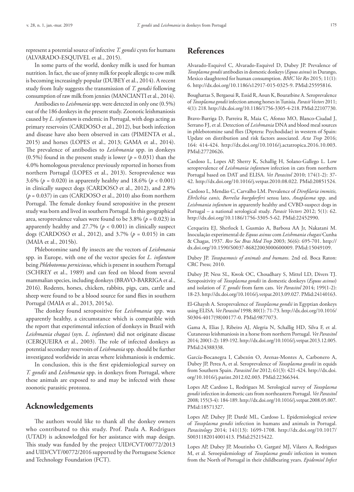represent a potential source of infective *T. gondii* cysts for humans (ALVARADO-ESQUIVEL et al., 2015).

In some parts of the world, donkey milk is used for human nutrition. In fact, the use of jenny milk for people allergic to cow milk is becoming increasingly popular (DUBEY et al., 2014). A recent study from Italy suggests the transmission of *T. gondii* following consumption of raw milk from jennies (MANCIANTI et al., 2014).

Antibodies to *Leishmania* spp. were detected in only one (0.5%) out of the 186 donkeys in the present study. Zoonotic leishmaniosis caused by *L. infantum* is endemic in Portugal, with dogs acting as primary reservoirs (CARDOSO et al., 2012), but both infection and disease have also been observed in cats (PIMENTA et al., 2015) and horses (LOPES et al., 2013; GAMA et al., 2014). The prevalence of antibodies to *Leishmania* spp. in donkeys (0.5%) found in the present study is lower ( $p = 0.031$ ) than the 4.0% homologous prevalence previously reported in horses from northern Portugal (LOPES et al., 2013). Seroprevalence was 3.6% (*p* = 0.020) in apparently healthy and 18.6% (*p* < 0.001) in clinically suspect dogs (CARDOSO et al., 2012), and 2.8% (*p* = 0.037) in cats (CARDOSO et al., 2010) also from northern Portugal. The female donkey found seropositive in the present study was born and lived in southern Portugal. In this geographical area, seroprevalence values were found to be  $3.8\%$  ( $p = 0.023$ ) in apparently healthy and  $27.7\%$  ( $p < 0.001$ ) in clinically suspect dogs (CARDOSO et al., 2012), and 3.7% (*p* = 0.015) in cats (MAIA et al., 2015b).

Phlebotomine sand fly insects are the vectors of *Leishmania* spp. in Europe, with one of the vector species for *L. infantum* being *Phlebotomus perniciosus*, which is present in southern Portugal (SCHREY et al., 1989) and can feed on blood from several mammalian species, including donkeys (BRAVO-BARRIGA et al., 2016). Rodents, horses, chicken, rabbits, pigs, cats, cattle and sheep were found to be a blood source for sand flies in southern Portugal (MAIA et al., 2013, 2015a).

The donkey found seropositive for *Leishmania* spp. was apparently healthy, a circumstance which is compatible with the report that experimental infection of donkeys in Brazil with *Leishmania chagasi* (syn. *L. infantum*) did not originate disease (CERQUEIRA et al., 2003). The role of infected donkeys as potential secondary reservoirs of *Leishmania* spp. should be further investigated worldwide in areas where leishmaniosis is endemic.

In conclusion, this is the first epidemiological survey on *T. gondii* and *Leishmania* spp. in donkeys from Portugal, where these animals are exposed to and may be infected with those zoonotic parasitic protozoa.

### **Acknowledgements**

The authors would like to thank all the donkey owners who contributed to this study. Prof. Paula A. Rodrigues (UTAD) is acknowledged for her assistance with map design. This study was funded by the project UID/CVT/00772/2013 and UID/CVT/00772/2016 supported by the Portuguese Science and Technology Foundation (FCT).

## **References**

Alvarado-Esquivel C, Alvarado-Esquivel D, Dubey JP. Prevalence of *Toxoplasma gondii* antibodies in domestic donkeys (*Equus asinus*) in Durango, Mexico slaughtered for human consumption. *BMC Vet Res* 2015; 11(1): 6. [http://dx.doi.org/10.1186/s12917-015-0325-9](https://doi.org/10.1186/s12917-015-0325-9)[. PMid:25595816.](https://www.ncbi.nlm.nih.gov/entrez/query.fcgi?cmd=Retrieve&db=PubMed&list_uids=25595816&dopt=Abstract)

Boughattas S, Bergaoui R, Essid R, Aoun K, Bouratbine A. Seroprevalence of *Toxoplasma gondii* infection among horses in Tunisia. *Parasit Vectors* 2011; 4(1): 218. [http://dx.doi.org/10.1186/1756-3305-4-218](https://doi.org/10.1186/1756-3305-4-218)[. PMid:22107730.](https://www.ncbi.nlm.nih.gov/entrez/query.fcgi?cmd=Retrieve&db=PubMed&list_uids=22107730&dopt=Abstract)

Bravo-Barriga D, Parreira R, Maia C, Afonso MO, Blanco-Ciudad J, Serrano FJ, et al. Detection of *Leishmania* DNA and blood meal sources in phlebotomine sand flies (Diptera: Psychodidae) in western of Spain: Update on distribution and risk factors associated. *Acta Trop* 2016; 164: 414-424. [http://dx.doi.org/10.1016/j.actatropica.2016.10.003](https://doi.org/10.1016/j.actatropica.2016.10.003). [PMid:27720626.](https://www.ncbi.nlm.nih.gov/entrez/query.fcgi?cmd=Retrieve&db=PubMed&list_uids=27720626&dopt=Abstract)

Cardoso L, Lopes AP, Sherry K, Schallig H, Solano-Gallego L. Low seroprevalence of *Leishmania infantum* infection in cats from northern Portugal based on DAT and ELISA. *Vet Parasitol* 2010; 174(1-2): 37- 42. [http://dx.doi.org/10.1016/j.vetpar.2010.08.022](https://doi.org/10.1016/j.vetpar.2010.08.022). [PMid:20851524.](https://www.ncbi.nlm.nih.gov/entrez/query.fcgi?cmd=Retrieve&db=PubMed&list_uids=20851524&dopt=Abstract)

Cardoso L, Mendão C, Carvalho LM. Prevalence of *Dirofilaria immitis, Ehrlichia canis, Borrelia burgdorferi* sensu lato, *Anaplasma* spp. and *Leishmania infantum* in apparently healthy and CVBD-suspect dogs in Portugal – a national serological study. *Parasit Vectors* 2012; 5(1): 62. [http://dx.doi.org/10.1186/1756-3305-5-62](https://doi.org/10.1186/1756-3305-5-62). [PMid:22452990.](https://www.ncbi.nlm.nih.gov/entrez/query.fcgi?cmd=Retrieve&db=PubMed&list_uids=22452990&dopt=Abstract)

Cerqueira EJ, Sherlock I, Gusmão A, Barbosa AA Jr, Nakatani M. Inoculação experimental de *Equus asinus* com *Leishmania chagasi* Cunha & Chagas, 1937. *Rev Soc Bras Med Trop* 2003; 36(6): 695-701. [http://](https://doi.org/10.1590/S0037-86822003000600009) [dx.doi.org/10.1590/S0037-86822003000600009](https://doi.org/10.1590/S0037-86822003000600009)[. PMid:15049109.](https://www.ncbi.nlm.nih.gov/entrez/query.fcgi?cmd=Retrieve&db=PubMed&list_uids=15049109&dopt=Abstract)

Dubey JP. *Toxopasmosis of animals and humans*. 2nd ed. Boca Raton: CRC Press; 2010.

Dubey JP, Ness SL, Kwok OC, Choudhary S, Mittel LD, Divers TJ. Seropositivity of *Toxoplasma gondii* in domestic donkeys (*Equus asinus*) and isolation of *T. gondii* from farm cats. *Vet Parasitol* 2014; 199(1-2): 18-23. [http://dx.doi.org/10.1016/j.vetpar.2013.09.027.](https://doi.org/10.1016/j.vetpar.2013.09.027) [PMid:24140163.](https://www.ncbi.nlm.nih.gov/entrez/query.fcgi?cmd=Retrieve&db=PubMed&list_uids=24140163&dopt=Abstract)

El-Ghaysh A. Seroprevalence of *Toxoplasma gondii* in Egyptian donkeys using ELISA. *Vet Parasitol* 1998; 80(1): 71-73. [http://dx.doi.org/10.1016/](https://doi.org/10.1016/S0304-4017(98)00177-0) [S0304-4017\(98\)00177-0](https://doi.org/10.1016/S0304-4017(98)00177-0). [PMid:9877073.](https://www.ncbi.nlm.nih.gov/entrez/query.fcgi?cmd=Retrieve&db=PubMed&list_uids=9877073&dopt=Abstract)

Gama A, Elias J, Ribeiro AJ, Alegria N, Schallig HD, Silva F, et al. Cutaneous leishmaniosis in a horse from northern Portugal. *Vet Parasitol* 2014; 200(1-2): 189-192. [http://dx.doi.org/10.1016/j.vetpar.2013.12.005.](https://doi.org/10.1016/j.vetpar.2013.12.005) [PMid:24388338.](https://www.ncbi.nlm.nih.gov/entrez/query.fcgi?cmd=Retrieve&db=PubMed&list_uids=24388338&dopt=Abstract)

García-Bocanegra I, Cabezón O, Arenas-Montes A, Carbonero A, Dubey JP, Perea A, et al. Seroprevalence of *Toxoplasma gondii* in equids from Southern Spain. *Parasitol Int* 2012; 61(3): 421-424. [http://dx.doi.](https://doi.org/10.1016/j.parint.2012.02.003) [org/10.1016/j.parint.2012.02.003.](https://doi.org/10.1016/j.parint.2012.02.003) [PMid:22366344.](https://www.ncbi.nlm.nih.gov/entrez/query.fcgi?cmd=Retrieve&db=PubMed&list_uids=22366344&dopt=Abstract)

Lopes AP, Cardoso L, Rodrigues M. Serological survey of *Toxoplasma gondii* infection in domestic cats from northeastern Portugal. *Vet Parasitol* 2008; 155(3-4): 184-189. [http://dx.doi.org/10.1016/j.vetpar.2008.05.007.](https://doi.org/10.1016/j.vetpar.2008.05.007) [PMid:18571327.](https://www.ncbi.nlm.nih.gov/entrez/query.fcgi?cmd=Retrieve&db=PubMed&list_uids=18571327&dopt=Abstract)

Lopes AP, Dubey JP, Dardé ML, Cardoso L. Epidemiological review of *Toxoplasma gondii* infection in humans and animals in Portugal. *Parasitology* 2014; 141(13): 1699-1708. [http://dx.doi.org/10.1017/](https://doi.org/10.1017/S0031182014001413) [S0031182014001413](https://doi.org/10.1017/S0031182014001413)[. PMid:25215422.](https://www.ncbi.nlm.nih.gov/entrez/query.fcgi?cmd=Retrieve&db=PubMed&list_uids=25215422&dopt=Abstract)

Lopes AP, Dubey JP, Moutinho O, Gargaté MJ, Vilares A, Rodrigues M, et al. Seroepidemiology of *Toxoplasma gondii* infection in women from the North of Portugal in their childbearing years. *Epidemiol Infect*